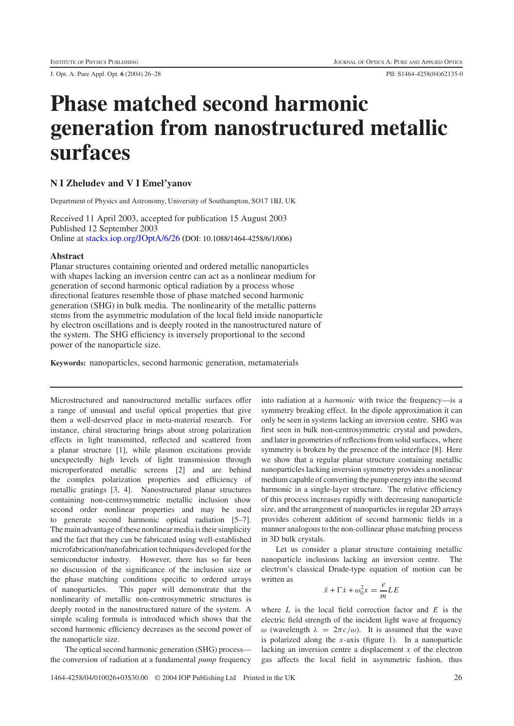J. Opt. A: Pure Appl. Opt. **6** (2004) 26–28 PII: S1464-4258(04)62135-0

# **Phase matched second harmonic generation from nanostructured metallic surfaces**

## **N I Zheludev and V I Emel'yanov**

Department of Physics and Astronomy, University of Southampton, SO17 1BJ, UK

Received 11 April 2003, accepted for publication 15 August 2003 Published 12 September 2003 Online at [stacks.iop.org/JOptA/6/26](http://stacks.iop.org/JOptA/6/26) (DOI: 10.1088/1464-4258/6/1/006)

### **Abstract**

Planar structures containing oriented and ordered metallic nanoparticles with shapes lacking an inversion centre can act as a nonlinear medium for generation of second harmonic optical radiation by a process whose directional features resemble those of phase matched second harmonic generation (SHG) in bulk media. The nonlinearity of the metallic patterns stems from the asymmetric modulation of the local field inside nanoparticle by electron oscillations and is deeply rooted in the nanostructured nature of the system. The SHG efficiency is inversely proportional to the second power of the nanoparticle size.

**Keywords:** nanoparticles, second harmonic generation, metamaterials

Microstructured and nanostructured metallic surfaces offer a range of unusual and useful optical properties that give them a well-deserved place in meta-material research. For instance, chiral structuring brings about strong polarization effects in light transmitted, reflected and scattered from a planar structure [1], while plasmon excitations provide unexpectedly high levels of light transmission through microperforated metallic screens [2] and are behind the complex polarization properties and efficiency of metallic gratings [3, 4]. Nanostructured planar structures containing non-centrosymmetric metallic inclusion show second order nonlinear properties and may be used to generate second harmonic optical radiation [5–7]. The main advantage of these nonlinear media is their simplicity and the fact that they can be fabricated using well-established microfabrication/nanofabrication techniques developed for the semiconductor industry. However, there has so far been no discussion of the significance of the inclusion size or the phase matching conditions specific to ordered arrays of nanoparticles. This paper will demonstrate that the nonlinearity of metallic non-centrosymmetric structures is deeply rooted in the nanostructured nature of the system. A simple scaling formula is introduced which shows that the second harmonic efficiency decreases as the second power of the nanoparticle size.

The optical second harmonic generation (SHG) process the conversion of radiation at a fundamental *pump* frequency

into radiation at a *harmonic* with twice the frequency—is a symmetry breaking effect. In the dipole approximation it can only be seen in systems lacking an inversion centre. SHG was first seen in bulk non-centrosymmetric crystal and powders, and later in geometries of reflections from solid surfaces, where symmetry is broken by the presence of the interface [8]. Here we show that a regular planar structure containing metallic nanoparticles lacking inversion symmetry provides a nonlinear medium capable of converting the pump energy into the second harmonic in a single-layer structure. The relative efficiency of this process increases rapidly with decreasing nanoparticle size, and the arrangement of nanoparticles in regular 2D arrays provides coherent addition of second harmonic fields in a manner analogous to the non-collinear phase matching process in 3D bulk crystals.

Let us consider a planar structure containing metallic nanoparticle inclusions lacking an inversion centre. The electron's classical Drude-type equation of motion can be written as

$$
\ddot{x} + \Gamma \dot{x} + \omega_0^2 x = \frac{e}{m} L E
$$

where *L* is the local field correction factor and *E* is the electric field strength of the incident light wave at frequency ω (wavelength  $\lambda = 2\pi c/\omega$ ). It is assumed that the wave is polarized along the *x*-axis (figure 1). In a nanoparticle lacking an inversion centre a displacement *x* of the electron gas affects the local field in asymmetric fashion, thus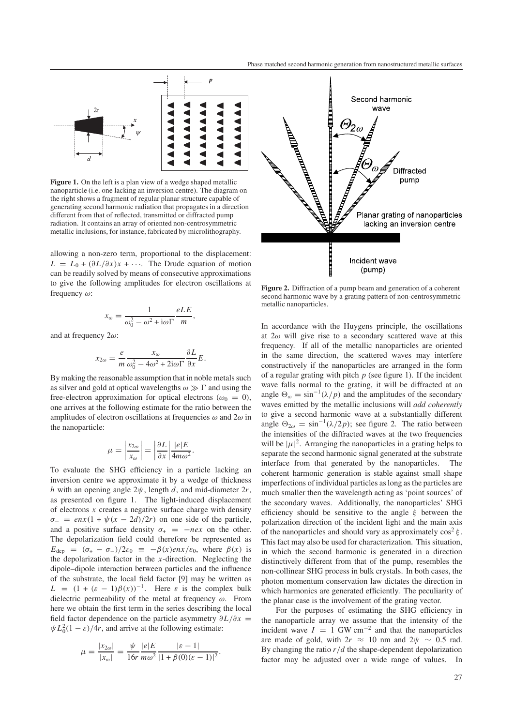

**Figure 1.** On the left is a plan view of a wedge shaped metallic nanoparticle (i.e. one lacking an inversion centre). The diagram on the right shows a fragment of regular planar structure capable of generating second harmonic radiation that propagates in a direction different from that of reflected, transmitted or diffracted pump radiation. It contains an array of oriented non-centrosymmetric metallic inclusions, for instance, fabricated by microlithography.

allowing a non-zero term, proportional to the displacement:  $L = L_0 + (\partial L/\partial x)x + \cdots$ . The Drude equation of motion can be readily solved by means of consecutive approximations to give the following amplitudes for electron oscillations at frequency  $\omega$ :

$$
x_{\omega} = \frac{1}{\omega_0^2 - \omega^2 + i\omega\Gamma} \frac{eLE}{m},
$$

and at frequency 2ω:

$$
x_{2\omega} = \frac{e}{m} \frac{x_{\omega}}{\omega_0^2 - 4\omega^2 + 2i\omega\Gamma} \frac{\partial L}{\partial x} E.
$$

By making the reasonable assumption that in noble metals such as silver and gold at optical wavelengths  $\omega \gg \Gamma$  and using the free-electron approximation for optical electrons ( $\omega_0 = 0$ ), one arrives at the following estimate for the ratio between the amplitudes of electron oscillations at frequencies  $\omega$  and  $2\omega$  in the nanoparticle:

$$
\mu = \left| \frac{x_{2\omega}}{x_{\omega}} \right| = \left| \frac{\partial L}{\partial x} \right| \frac{|e|E}{4m\omega^2}.
$$

To evaluate the SHG efficiency in a particle lacking an inversion centre we approximate it by a wedge of thickness *h* with an opening angle  $2\psi$ , length *d*, and mid-diameter  $2r$ , as presented on figure 1. The light-induced displacement of electrons *x* creates a negative surface charge with density  $\sigma_-$  =  $\text{en}(1 + \psi(x - 2d)/2r)$  on one side of the particle, and a positive surface density  $\sigma_{+} = -n e x$  on the other. The depolarization field could therefore be represented as  $E_{\text{den}} = (\sigma_{+} - \sigma_{-})/2\varepsilon_0 \equiv -\beta(x)$ *enx*/ $\varepsilon_0$ , where  $\beta(x)$  is the depolarization factor in the *x*-direction. Neglecting the dipole–dipole interaction between particles and the influence of the substrate, the local field factor [9] may be written as  $L = (1 + (\varepsilon - 1)\beta(x))^{-1}$ . Here  $\varepsilon$  is the complex bulk dielectric permeability of the metal at frequency  $\omega$ . From here we obtain the first term in the series describing the local field factor dependence on the particle asymmetry ∂*L*/∂*x* =  $\psi L_0^2(1 - \varepsilon)/4r$ , and arrive at the following estimate:

$$
\mu = \frac{|x_{2\omega}|}{|x_{\omega}|} = \frac{\psi}{16r} \frac{|e|E}{m\omega^2} \frac{|\varepsilon - 1|}{|1 + \beta(0)(\varepsilon - 1)|^2}.
$$



**Figure 2.** Diffraction of a pump beam and generation of a coherent second harmonic wave by a grating pattern of non-centrosymmetric metallic nanoparticles.

In accordance with the Huygens principle, the oscillations at  $2\omega$  will give rise to a secondary scattered wave at this frequency. If all of the metallic nanoparticles are oriented in the same direction, the scattered waves may interfere constructively if the nanoparticles are arranged in the form of a regular grating with pitch *p* (see figure 1). If the incident wave falls normal to the grating, it will be diffracted at an angle  $\Theta_{\omega} = \sin^{-1}(\lambda/p)$  and the amplitudes of the secondary waves emitted by the metallic inclusions will *add coherently* to give a second harmonic wave at a substantially different angle  $\Theta_{2\omega} = \sin^{-1}(\lambda/2p)$ ; see figure 2. The ratio between the intensities of the diffracted waves at the two frequencies will be  $|\mu|^2$ . Arranging the nanoparticles in a grating helps to separate the second harmonic signal generated at the substrate interface from that generated by the nanoparticles. The coherent harmonic generation is stable against small shape imperfections of individual particles as long as the particles are much smaller then the wavelength acting as 'point sources' of the secondary waves. Additionally, the nanoparticles' SHG efficiency should be sensitive to the angle  $\xi$  between the polarization direction of the incident light and the main axis of the nanoparticles and should vary as approximately  $\cos^2 \xi$ . This fact may also be used for characterization. This situation, in which the second harmonic is generated in a direction distinctively different from that of the pump, resembles the non-collinear SHG process in bulk crystals. In both cases, the photon momentum conservation law dictates the direction in which harmonics are generated efficiently. The peculiarity of the planar case is the involvement of the grating vector.

For the purposes of estimating the SHG efficiency in the nanoparticle array we assume that the intensity of the incident wave  $I = 1$  GW cm<sup>-2</sup> and that the nanoparticles are made of gold, with  $2r \approx 10$  nm and  $2\psi \sim 0.5$  rad. By changing the ratio  $r/d$  the shape-dependent depolarization factor may be adjusted over a wide range of values. In